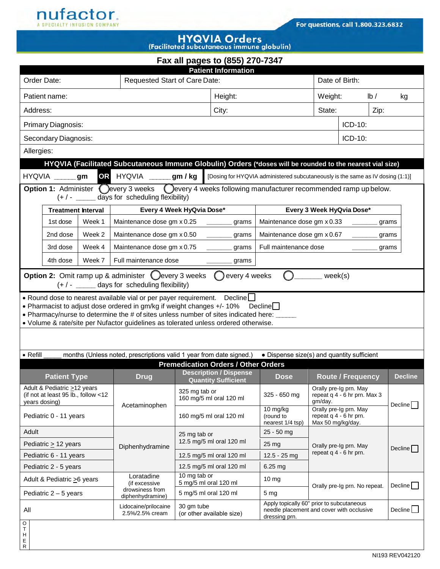

T H E R

## **HYQVIA Orders**

| <b>I</b> activided subcordite ous minimum group (iii)                                                                                                                                                                                                                                                                                          |        |                                                                                                                                                                                                                                                                                      |                                                                     |                                                                                   |                                                                                                                                                                                                                                                                       |                                                                                                                                            |                                    |                                                                                                             |                                           |  |  |  |  |
|------------------------------------------------------------------------------------------------------------------------------------------------------------------------------------------------------------------------------------------------------------------------------------------------------------------------------------------------|--------|--------------------------------------------------------------------------------------------------------------------------------------------------------------------------------------------------------------------------------------------------------------------------------------|---------------------------------------------------------------------|-----------------------------------------------------------------------------------|-----------------------------------------------------------------------------------------------------------------------------------------------------------------------------------------------------------------------------------------------------------------------|--------------------------------------------------------------------------------------------------------------------------------------------|------------------------------------|-------------------------------------------------------------------------------------------------------------|-------------------------------------------|--|--|--|--|
| <b>Patient Information</b>                                                                                                                                                                                                                                                                                                                     |        |                                                                                                                                                                                                                                                                                      |                                                                     |                                                                                   |                                                                                                                                                                                                                                                                       |                                                                                                                                            |                                    |                                                                                                             |                                           |  |  |  |  |
| Order Date:                                                                                                                                                                                                                                                                                                                                    |        |                                                                                                                                                                                                                                                                                      |                                                                     |                                                                                   |                                                                                                                                                                                                                                                                       |                                                                                                                                            |                                    | Date of Birth:                                                                                              |                                           |  |  |  |  |
| Patient name:                                                                                                                                                                                                                                                                                                                                  |        |                                                                                                                                                                                                                                                                                      |                                                                     | Height:                                                                           |                                                                                                                                                                                                                                                                       |                                                                                                                                            | Weight:<br>$\mathsf{lb}/\mathsf{}$ |                                                                                                             | kg                                        |  |  |  |  |
| Address:                                                                                                                                                                                                                                                                                                                                       |        |                                                                                                                                                                                                                                                                                      |                                                                     | City:                                                                             |                                                                                                                                                                                                                                                                       |                                                                                                                                            |                                    |                                                                                                             |                                           |  |  |  |  |
|                                                                                                                                                                                                                                                                                                                                                |        |                                                                                                                                                                                                                                                                                      |                                                                     |                                                                                   |                                                                                                                                                                                                                                                                       | ICD-10:                                                                                                                                    |                                    |                                                                                                             |                                           |  |  |  |  |
|                                                                                                                                                                                                                                                                                                                                                |        |                                                                                                                                                                                                                                                                                      |                                                                     |                                                                                   | ICD-10:                                                                                                                                                                                                                                                               |                                                                                                                                            |                                    |                                                                                                             |                                           |  |  |  |  |
| Allergies:                                                                                                                                                                                                                                                                                                                                     |        |                                                                                                                                                                                                                                                                                      |                                                                     |                                                                                   |                                                                                                                                                                                                                                                                       |                                                                                                                                            |                                    |                                                                                                             |                                           |  |  |  |  |
| HYQVIA (Facilitated Subcutaneous Immune Globulin) Orders (*doses will be rounded to the nearest vial size)                                                                                                                                                                                                                                     |        |                                                                                                                                                                                                                                                                                      |                                                                     |                                                                                   |                                                                                                                                                                                                                                                                       |                                                                                                                                            |                                    |                                                                                                             |                                           |  |  |  |  |
| gm / kg<br>OR<br><b>HYQVIA</b><br>[Dosing for HYQVIA administered subcutaneously is the same as IV dosing (1:1)]<br><b>HYQVIA</b><br>gm                                                                                                                                                                                                        |        |                                                                                                                                                                                                                                                                                      |                                                                     |                                                                                   |                                                                                                                                                                                                                                                                       |                                                                                                                                            |                                    |                                                                                                             |                                           |  |  |  |  |
| Option 1: Administer (every 3 weeks (every 4 weeks following manufacturer recommended ramp up below.<br>(+/- ______ days for scheduling flexibility)                                                                                                                                                                                           |        |                                                                                                                                                                                                                                                                                      |                                                                     |                                                                                   |                                                                                                                                                                                                                                                                       |                                                                                                                                            |                                    |                                                                                                             |                                           |  |  |  |  |
| <b>Treatment Interval</b>                                                                                                                                                                                                                                                                                                                      |        |                                                                                                                                                                                                                                                                                      |                                                                     |                                                                                   | Every 3 Week HyQvia Dose*                                                                                                                                                                                                                                             |                                                                                                                                            |                                    |                                                                                                             |                                           |  |  |  |  |
| 1st dose                                                                                                                                                                                                                                                                                                                                       | Week 1 |                                                                                                                                                                                                                                                                                      |                                                                     | grams                                                                             |                                                                                                                                                                                                                                                                       |                                                                                                                                            |                                    |                                                                                                             |                                           |  |  |  |  |
| 2nd dose                                                                                                                                                                                                                                                                                                                                       | Week 2 |                                                                                                                                                                                                                                                                                      |                                                                     | grams                                                                             | Maintenance dose gm x 0.67<br>grams                                                                                                                                                                                                                                   |                                                                                                                                            |                                    |                                                                                                             |                                           |  |  |  |  |
| 3rd dose                                                                                                                                                                                                                                                                                                                                       | Week 4 | Maintenance dose gm x 0.75<br>grams                                                                                                                                                                                                                                                  |                                                                     |                                                                                   |                                                                                                                                                                                                                                                                       | grams                                                                                                                                      |                                    |                                                                                                             |                                           |  |  |  |  |
| 4th dose                                                                                                                                                                                                                                                                                                                                       | Week 7 |                                                                                                                                                                                                                                                                                      |                                                                     | grams                                                                             |                                                                                                                                                                                                                                                                       |                                                                                                                                            |                                    |                                                                                                             |                                           |  |  |  |  |
| <b>Option 2:</b> Omit ramp up & administer $\bigcirc$ every 3 weeks $\bigcirc$ every 4 weeks<br>week(s)<br>$(+ / -$ _______ days for scheduling flexibility)                                                                                                                                                                                   |        |                                                                                                                                                                                                                                                                                      |                                                                     |                                                                                   |                                                                                                                                                                                                                                                                       |                                                                                                                                            |                                    |                                                                                                             |                                           |  |  |  |  |
| • Round dose to nearest available vial or per payer requirement. Decline<br>• Pharmacist to adjust dose ordered in gm/kg if weight changes +/- 10%<br>Declinel I<br>. Pharmacy/nurse to determine the # of sites unless number of sites indicated here:<br>• Volume & rate/site per Nufactor guidelines as tolerated unless ordered otherwise. |        |                                                                                                                                                                                                                                                                                      |                                                                     |                                                                                   |                                                                                                                                                                                                                                                                       |                                                                                                                                            |                                    |                                                                                                             |                                           |  |  |  |  |
|                                                                                                                                                                                                                                                                                                                                                |        |                                                                                                                                                                                                                                                                                      |                                                                     |                                                                                   |                                                                                                                                                                                                                                                                       |                                                                                                                                            |                                    |                                                                                                             |                                           |  |  |  |  |
| months (Unless noted, prescriptions valid 1 year from date signed.)<br>• Dispense size(s) and quantity sufficient<br>$\bullet$ Refill                                                                                                                                                                                                          |        |                                                                                                                                                                                                                                                                                      |                                                                     |                                                                                   |                                                                                                                                                                                                                                                                       |                                                                                                                                            |                                    |                                                                                                             |                                           |  |  |  |  |
| <b>Patient Type</b>                                                                                                                                                                                                                                                                                                                            |        | <b>Drug</b>                                                                                                                                                                                                                                                                          |                                                                     |                                                                                   | <b>Dose</b>                                                                                                                                                                                                                                                           |                                                                                                                                            |                                    |                                                                                                             | <b>Decline</b>                            |  |  |  |  |
| years dosing)                                                                                                                                                                                                                                                                                                                                  |        |                                                                                                                                                                                                                                                                                      | 325 mg tab or<br>160 mg/5 ml oral 120 ml<br>160 mg/5 ml oral 120 ml |                                                                                   | 325 - 650 mg                                                                                                                                                                                                                                                          | Orally pre-Ig prn. May<br>repeat q 4 - 6 hr prn. Max 3<br>gm/day.<br>Orally pre-Ig prn. May<br>repeat q 4 - 6 hr prn.<br>Max 50 mg/kg/day. |                                    |                                                                                                             | Decline                                   |  |  |  |  |
|                                                                                                                                                                                                                                                                                                                                                |        |                                                                                                                                                                                                                                                                                      |                                                                     |                                                                                   | 10 mg/kg<br>(round to<br>nearest 1/4 tsp)                                                                                                                                                                                                                             |                                                                                                                                            |                                    |                                                                                                             |                                           |  |  |  |  |
|                                                                                                                                                                                                                                                                                                                                                |        |                                                                                                                                                                                                                                                                                      | 25 mg tab or<br>12.5 mg/5 ml oral 120 ml                            |                                                                                   | 25 - 50 mg                                                                                                                                                                                                                                                            | Orally pre-Ig prn. May                                                                                                                     |                                    |                                                                                                             |                                           |  |  |  |  |
|                                                                                                                                                                                                                                                                                                                                                |        | Diphenhydramine                                                                                                                                                                                                                                                                      |                                                                     |                                                                                   | 25 mg                                                                                                                                                                                                                                                                 |                                                                                                                                            |                                    |                                                                                                             | Decline                                   |  |  |  |  |
|                                                                                                                                                                                                                                                                                                                                                |        |                                                                                                                                                                                                                                                                                      |                                                                     |                                                                                   | 12.5 - 25 mg                                                                                                                                                                                                                                                          |                                                                                                                                            |                                    |                                                                                                             |                                           |  |  |  |  |
|                                                                                                                                                                                                                                                                                                                                                |        |                                                                                                                                                                                                                                                                                      |                                                                     |                                                                                   | $6.25$ mg                                                                                                                                                                                                                                                             |                                                                                                                                            |                                    |                                                                                                             |                                           |  |  |  |  |
|                                                                                                                                                                                                                                                                                                                                                |        | (if excessive                                                                                                                                                                                                                                                                        | 5 mg/5 ml oral 120 ml                                               |                                                                                   | 10 <sub>mg</sub>                                                                                                                                                                                                                                                      | Orally pre-Ig prn. No repeat.                                                                                                              |                                    |                                                                                                             | Decline $\Box$                            |  |  |  |  |
|                                                                                                                                                                                                                                                                                                                                                |        | diphenhydramine)                                                                                                                                                                                                                                                                     |                                                                     |                                                                                   | 5 <sub>mg</sub>                                                                                                                                                                                                                                                       |                                                                                                                                            |                                    |                                                                                                             |                                           |  |  |  |  |
|                                                                                                                                                                                                                                                                                                                                                |        | Lidocaine/prilocaine<br>2.5%/2.5% cream                                                                                                                                                                                                                                              |                                                                     |                                                                                   | needle placement and cover with occlusive<br>dressing prn.                                                                                                                                                                                                            |                                                                                                                                            |                                    | Decline                                                                                                     |                                           |  |  |  |  |
|                                                                                                                                                                                                                                                                                                                                                |        | Primary Diagnosis:<br>Secondary Diagnosis:<br>Adult & Pediatric >12 years<br>(if not at least 95 lb., follow <12<br>Pediatric 0 - 11 years<br>Pediatric $\geq$ 12 years<br>Pediatric 6 - 11 years<br>Pediatric 2 - 5 years<br>Adult & Pediatric > 6 years<br>Pediatric $2 - 5$ years | Acetaminophen<br>Loratadine<br>drowsiness from                      | Maintenance dose gm x 0.25<br>Maintenance dose gm x 0.50<br>Full maintenance dose | Requested Start of Care Date:<br>Every 4 Week HyQvia Dose*<br><b>Description / Dispense</b><br><b>Quantity Sufficient</b><br>12.5 mg/5 ml oral 120 ml<br>12.5 mg/5 ml oral 120 ml<br>10 mg tab or<br>5 mg/5 ml oral 120 ml<br>30 gm tube<br>(or other available size) | Fax all pages to (855) 270-7347<br><b>Premedication Orders / Other Orders</b>                                                              | Full maintenance dose              | State:<br>Maintenance dose gm x 0.33<br>repeat q 4 - 6 hr prn.<br>Apply topically 60" prior to subcutaneous | Zip:<br>grams<br><b>Route / Frequency</b> |  |  |  |  |